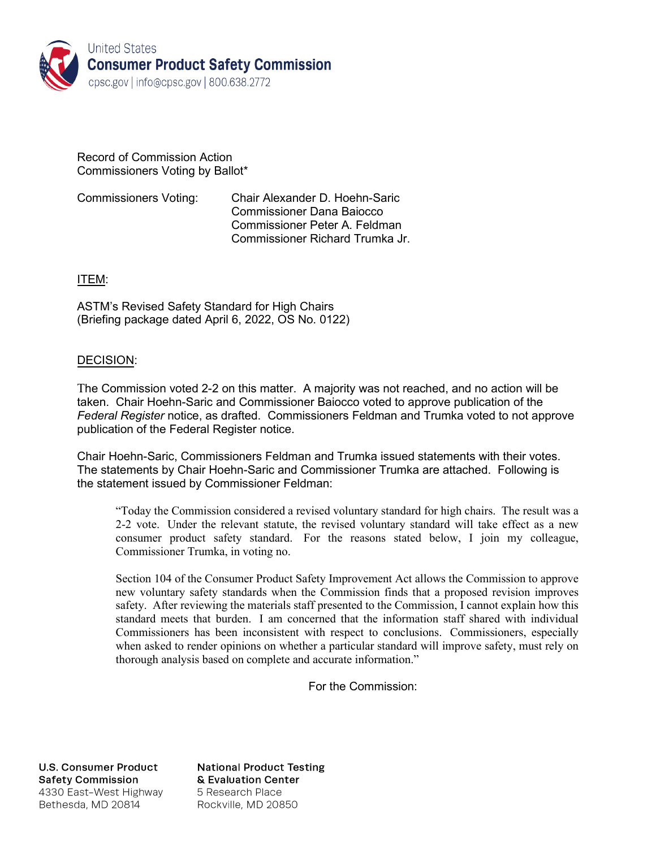

#### Record of Commission Action Commissioners Voting by Ballot\*

Commissioners Voting: Chair Alexander D. Hoehn-Saric Commissioner Dana Baiocco Commissioner Peter A. Feldman Commissioner Richard Trumka Jr.

### ITEM:

ASTM's Revised Safety Standard for High Chairs (Briefing package dated April 6, 2022, OS No. 0122)

### DECISION:

The Commission voted 2-2 on this matter. A majority was not reached, and no action will be taken. Chair Hoehn-Saric and Commissioner Baiocco voted to approve publication of the *Federal Register* notice, as drafted. Commissioners Feldman and Trumka voted to not approve publication of the Federal Register notice.

Chair Hoehn-Saric, Commissioners Feldman and Trumka issued statements with their votes. The statements by Chair Hoehn-Saric and Commissioner Trumka are attached. Following is the statement issued by Commissioner Feldman:

"Today the Commission considered a revised voluntary standard for high chairs. The result was a 2-2 vote. Under the relevant statute, the revised voluntary standard will take effect as a new consumer product safety standard. For the reasons stated below, I join my colleague, Commissioner Trumka, in voting no.

Section 104 of the Consumer Product Safety Improvement Act allows the Commission to approve new voluntary safety standards when the Commission finds that a proposed revision improves safety. After reviewing the materials staff presented to the Commission, I cannot explain how this standard meets that burden. I am concerned that the information staff shared with individual Commissioners has been inconsistent with respect to conclusions. Commissioners, especially when asked to render opinions on whether a particular standard will improve safety, must rely on thorough analysis based on complete and accurate information."

For the Commission:

**U.S. Consumer Product Safety Commission** 4330 East-West Highway Bethesda, MD 20814

**National Product Testing** & Evaluation Center 5 Research Place Rockville, MD 20850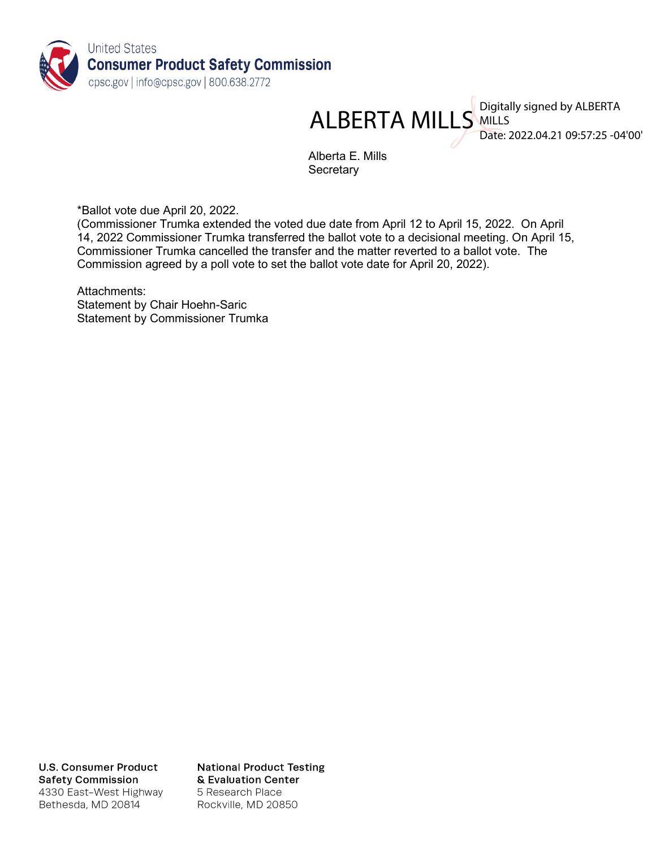

ALBERTA MILLS MILLS MILLS

Date: 2022.04.21 09:57:25 -04'00'

Alberta E. Mills **Secretary** 

\*Ballot vote due April 20, 2022.

(Commissioner Trumka extended the voted due date from April 12 to April 15, 2022. On April 14, 2022 Commissioner Trumka transferred the ballot vote to a decisional meeting. On April 15, Commissioner Trumka cancelled the transfer and the matter reverted to a ballot vote. The Commission agreed by a poll vote to set the ballot vote date for April 20, 2022).

Attachments: Statement by Chair Hoehn-Saric Statement by Commissioner Trumka

**U.S. Consumer Product Safety Commission** 4330 East-West Highway Bethesda, MD 20814

**National Product Testing** & Evaluation Center 5 Research Place Rockville, MD 20850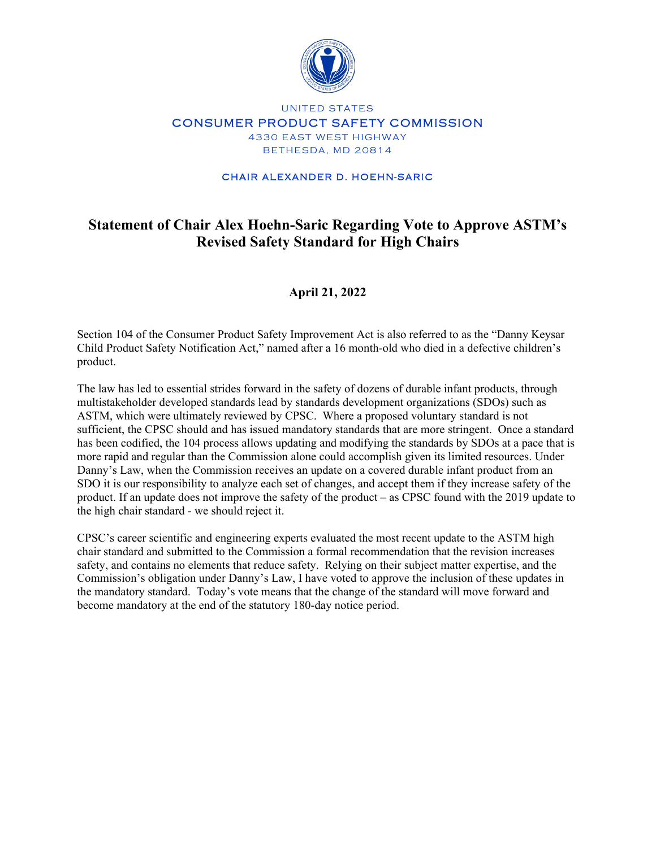

### UNITED STATES CONSUMER PRODUCT SAFETY COMMISSION 4330 EAST WEST HIGHWAY BETHESDA, MD 20814

#### CHAIR ALEXANDER D. HOEHN-SARIC

# **Statement of Chair Alex Hoehn-Saric Regarding Vote to Approve ASTM's Revised Safety Standard for High Chairs**

## **April 21, 2022**

Section 104 of the Consumer Product Safety Improvement Act is also referred to as the "Danny Keysar Child Product Safety Notification Act," named after a 16 month-old who died in a defective children's product.

The law has led to essential strides forward in the safety of dozens of durable infant products, through multistakeholder developed standards lead by standards development organizations (SDOs) such as ASTM, which were ultimately reviewed by CPSC. Where a proposed voluntary standard is not sufficient, the CPSC should and has issued mandatory standards that are more stringent. Once a standard has been codified, the 104 process allows updating and modifying the standards by SDOs at a pace that is more rapid and regular than the Commission alone could accomplish given its limited resources. Under Danny's Law, when the Commission receives an update on a covered durable infant product from an SDO it is our responsibility to analyze each set of changes, and accept them if they increase safety of the product. If an update does not improve the safety of the product – as CPSC found with the 2019 update to the high chair standard - we should reject it.

CPSC's career scientific and engineering experts evaluated the most recent update to the ASTM high chair standard and submitted to the Commission a formal recommendation that the revision increases safety, and contains no elements that reduce safety. Relying on their subject matter expertise, and the Commission's obligation under Danny's Law, I have voted to approve the inclusion of these updates in the mandatory standard. Today's vote means that the change of the standard will move forward and become mandatory at the end of the statutory 180-day notice period.